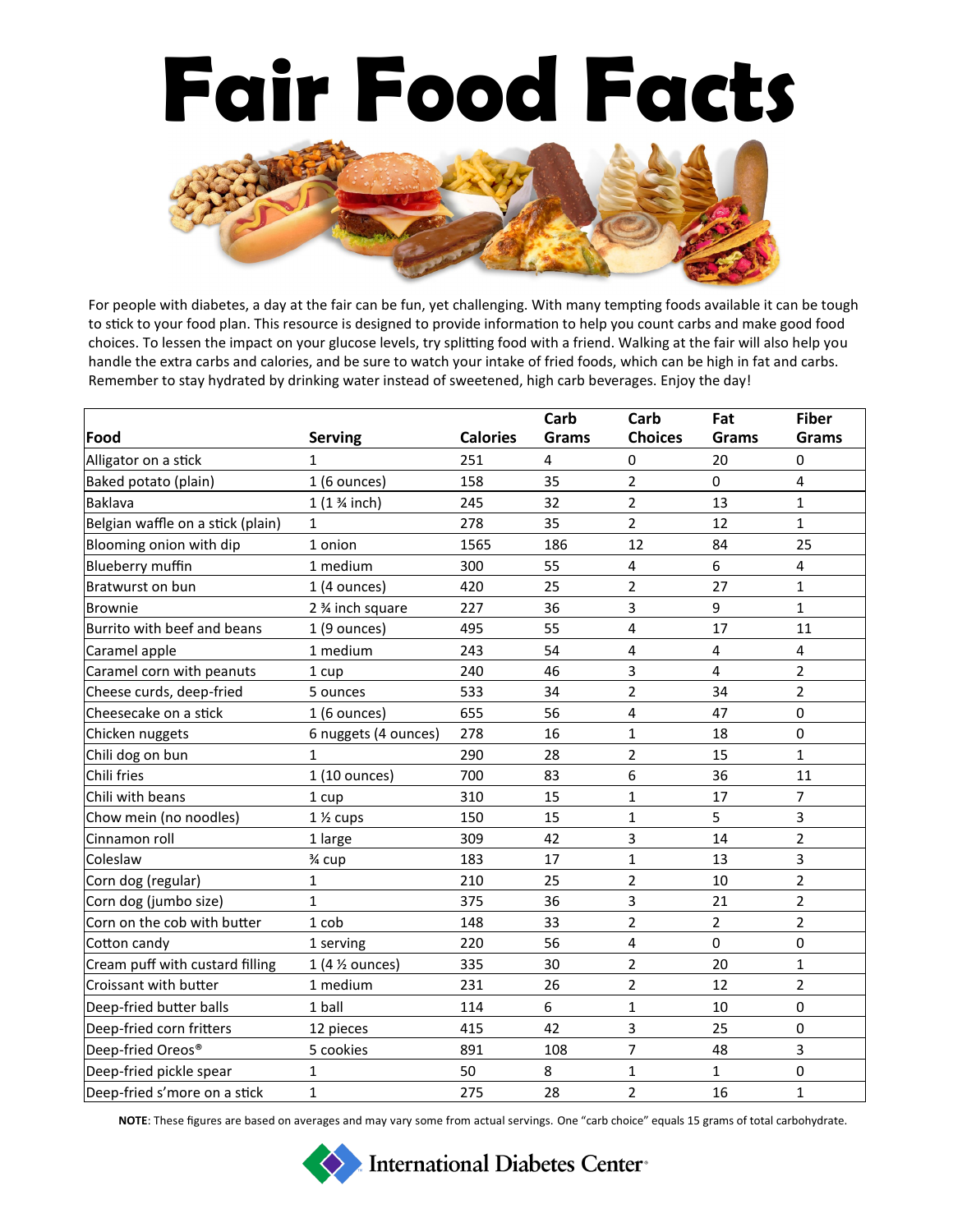## **Fair Food Facts**



For people with diabetes, a day at the fair can be fun, yet challenging. With many tempting foods available it can be tough to stick to your food plan. This resource is designed to provide information to help you count carbs and make good food choices. To lessen the impact on your glucose levels, try splitting food with a friend. Walking at the fair will also help you handle the extra carbs and calories, and be sure to watch your intake of fried foods, which can be high in fat and carbs. Remember to stay hydrated by drinking water instead of sweetened, high carb beverages. Enjoy the day!

|                                   |                        |                 | Carb         | Carb           | Fat            | <b>Fiber</b>   |
|-----------------------------------|------------------------|-----------------|--------------|----------------|----------------|----------------|
| Food                              | <b>Serving</b>         | <b>Calories</b> | <b>Grams</b> | <b>Choices</b> | <b>Grams</b>   | <b>Grams</b>   |
| Alligator on a stick              | $\mathbf{1}$           | 251             | 4            | 0              | 20             | 0              |
| Baked potato (plain)              | $1(6$ ounces)          | 158             | 35           | $\overline{2}$ | 0              | $\overline{4}$ |
| <b>Baklava</b>                    | $1(1\frac{3}{4}$ inch) | 245             | 32           | $\overline{2}$ | 13             | $\mathbf{1}$   |
| Belgian waffle on a stick (plain) | $\mathbf{1}$           | 278             | 35           | $\overline{2}$ | 12             | 1              |
| Blooming onion with dip           | 1 onion                | 1565            | 186          | 12             | 84             | 25             |
| Blueberry muffin                  | 1 medium               | 300             | 55           | 4              | 6              | $\overline{4}$ |
| Bratwurst on bun                  | $1(4$ ounces)          | 420             | 25           | 2              | 27             | 1              |
| <b>Brownie</b>                    | 2 % inch square        | 227             | 36           | 3              | 9              | $\mathbf{1}$   |
| Burrito with beef and beans       | $1(9$ ounces)          | 495             | 55           | 4              | 17             | 11             |
| Caramel apple                     | 1 medium               | 243             | 54           | 4              | 4              | $\overline{4}$ |
| Caramel corn with peanuts         | 1 cup                  | 240             | 46           | 3              | 4              | $\overline{2}$ |
| Cheese curds, deep-fried          | 5 ounces               | 533             | 34           | 2              | 34             | $\overline{2}$ |
| Cheesecake on a stick             | $1(6$ ounces)          | 655             | 56           | 4              | 47             | $\mathbf 0$    |
| Chicken nuggets                   | 6 nuggets (4 ounces)   | 278             | 16           | $\mathbf{1}$   | 18             | $\mathbf 0$    |
| Chili dog on bun                  | $\mathbf{1}$           | 290             | 28           | 2              | 15             | $\mathbf{1}$   |
| Chili fries                       | 1 (10 ounces)          | 700             | 83           | 6              | 36             | 11             |
| Chili with beans                  | 1 cup                  | 310             | 15           | $\mathbf{1}$   | 17             | $\overline{7}$ |
| Chow mein (no noodles)            | $1\frac{1}{2}$ cups    | 150             | 15           | 1              | 5              | 3              |
| Cinnamon roll                     | 1 large                | 309             | 42           | 3              | 14             | $\overline{2}$ |
| Coleslaw                          | 3⁄4 cup                | 183             | 17           | 1              | 13             | 3              |
| Corn dog (regular)                | $\mathbf{1}$           | 210             | 25           | $\overline{2}$ | 10             | $\overline{2}$ |
| Corn dog (jumbo size)             | $\mathbf{1}$           | 375             | 36           | 3              | 21             | $\overline{2}$ |
| Corn on the cob with butter       | 1 cob                  | 148             | 33           | $\overline{2}$ | $\overline{2}$ | $\overline{2}$ |
| Cotton candy                      | 1 serving              | 220             | 56           | 4              | 0              | 0              |
| Cream puff with custard filling   | 1 (4 % ounces)         | 335             | 30           | 2              | 20             | $\mathbf{1}$   |
| Croissant with butter             | 1 medium               | 231             | 26           | $\overline{2}$ | 12             | $\overline{2}$ |
| Deep-fried butter balls           | 1 ball                 | 114             | 6            | $\mathbf{1}$   | 10             | $\pmb{0}$      |
| Deep-fried corn fritters          | 12 pieces              | 415             | 42           | 3              | 25             | $\mathbf 0$    |
| Deep-fried Oreos®                 | 5 cookies              | 891             | 108          | 7              | 48             | 3              |
| Deep-fried pickle spear           | $\mathbf{1}$           | 50              | 8            | $\mathbf{1}$   | $\mathbf{1}$   | $\pmb{0}$      |
| Deep-fried s'more on a stick      | $\mathbf{1}$           | 275             | 28           | 2              | 16             | 1              |

**NOTE**: These figures are based on averages and may vary some from actual servings. One "carb choice" equals 15 grams of total carbohydrate.

International Diabetes Center